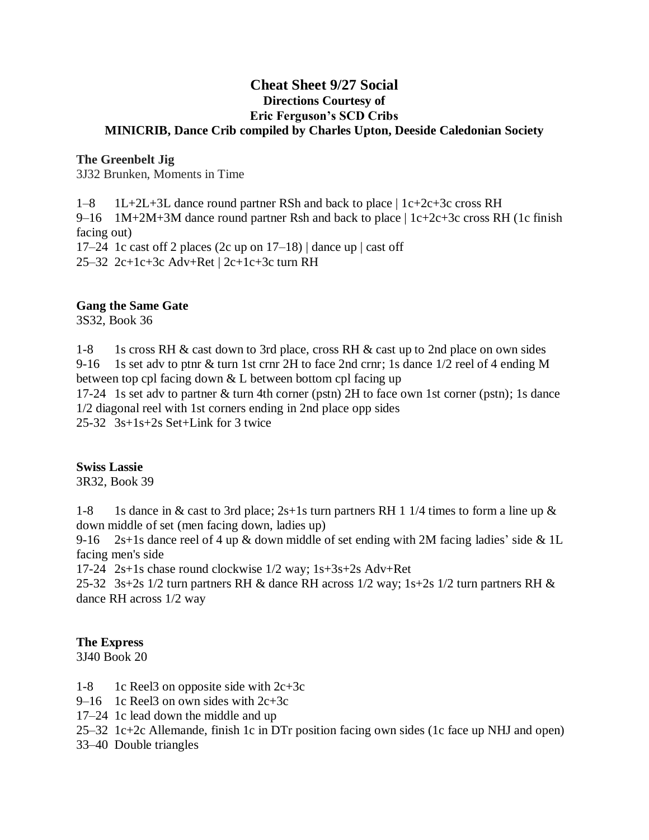## **Cheat Sheet 9/27 Social Directions Courtesy of Eric Ferguson's SCD Cribs MINICRIB, Dance Crib compiled by Charles Upton, Deeside Caledonian Society**

#### **The Greenbelt Jig**

3J32 Brunken, Moments in Time

1–8 1L+2L+3L dance round partner RSh and back to place | 1c+2c+3c cross RH

9–16 1M+2M+3M dance round partner Rsh and back to place | 1c+2c+3c cross RH (1c finish facing out)

17–24 1c cast off 2 places (2c up on  $17-18$ ) | dance up | cast off 25–32 2c+1c+3c Adv+Ret | 2c+1c+3c turn RH

#### **Gang the Same Gate**

3S32, Book 36

1-8 1s cross RH & cast down to 3rd place, cross RH & cast up to 2nd place on own sides 9-16 1s set adv to ptnr & turn 1st crnr 2H to face 2nd crnr; 1s dance 1/2 reel of 4 ending M between top cpl facing down & L between bottom cpl facing up

17-24 1s set adv to partner & turn 4th corner (pstn) 2H to face own 1st corner (pstn); 1s dance 1/2 diagonal reel with 1st corners ending in 2nd place opp sides

25-32 3s+1s+2s Set+Link for 3 twice

#### **Swiss Lassie**

3R32, Book 39

1-8 1s dance in & cast to 3rd place;  $2s+1s$  turn partners RH 1 1/4 times to form a line up & down middle of set (men facing down, ladies up)

9-16 2s+1s dance reel of 4 up & down middle of set ending with 2M facing ladies' side & 1L facing men's side

17-24 2s+1s chase round clockwise 1/2 way; 1s+3s+2s Adv+Ret

25-32 3s+2s  $1/2$  turn partners RH & dance RH across  $1/2$  way;  $1s+2s$   $1/2$  turn partners RH & dance RH across 1/2 way

## **The Express**

3J40 Book 20

- 1-8 1c Reel3 on opposite side with  $2c+3c$
- 9–16 1c Reel3 on own sides with 2c+3c
- 17–24 1c lead down the middle and up
- 25–32 1c+2c Allemande, finish 1c in DTr position facing own sides (1c face up NHJ and open)
- 33–40 Double triangles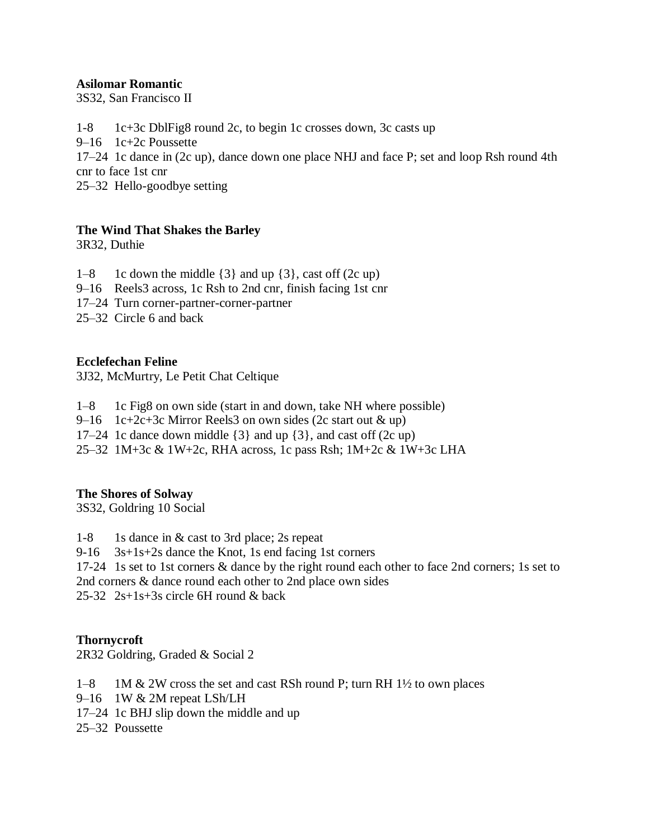## **Asilomar Romantic**

3S32, San Francisco II

1-8 1c+3c DblFig8 round 2c, to begin 1c crosses down, 3c casts up 9–16 1c+2c Poussette 17–24 1c dance in (2c up), dance down one place NHJ and face P; set and loop Rsh round 4th cnr to face 1st cnr

25–32 Hello-goodbye setting

## **The Wind That Shakes the Barley**

3R32, Duthie

- 1–8 1c down the middle  $\{3\}$  and up  $\{3\}$ , cast off  $(2c \text{ up})$
- 9–16 Reels3 across, 1c Rsh to 2nd cnr, finish facing 1st cnr
- 17–24 Turn corner-partner-corner-partner
- 25–32 Circle 6 and back

## **Ecclefechan Feline**

3J32, McMurtry, Le Petit Chat Celtique

- 1–8 1c Fig8 on own side (start in and down, take NH where possible)
- 9–16 1c+2c+3c Mirror Reels3 on own sides (2c start out  $\&$  up)
- 17–24 1c dance down middle {3} and up {3}, and cast off (2c up)
- 25–32 1M+3c & 1W+2c, RHA across, 1c pass Rsh; 1M+2c & 1W+3c LHA

#### **The Shores of Solway**

3S32, Goldring 10 Social

- 1-8 1s dance in & cast to 3rd place; 2s repeat
- 9-16 3s+1s+2s dance the Knot, 1s end facing 1st corners
- 17-24 1s set to 1st corners & dance by the right round each other to face 2nd corners; 1s set to 2nd corners & dance round each other to 2nd place own sides

25-32 2s+1s+3s circle 6H round & back

**Thornycroft**

2R32 Goldring, Graded & Social 2

- $1-8$  1M & 2W cross the set and cast RSh round P; turn RH 1½ to own places
- 9–16 1W & 2M repeat LSh/LH
- 17–24 1c BHJ slip down the middle and up
- 25–32 Poussette